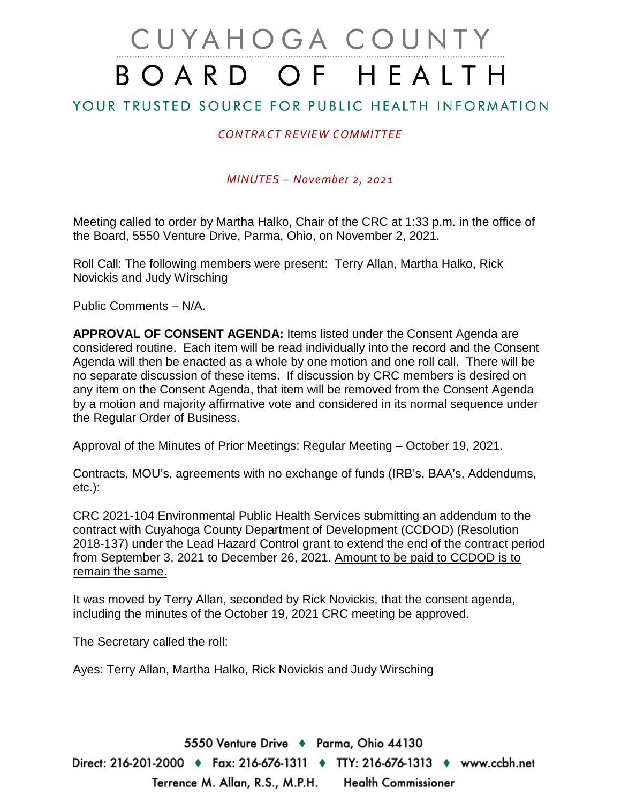# CUYAHOGA COUNTY BOARD OF HEALTH

## YOUR TRUSTED SOURCE FOR PUBLIC HEALTH INFORMATION

### *CONTRACT REVIEW COMMITTEE*

*MINUTES – November 2, 2021* 

Meeting called to order by Martha Halko, Chair of the CRC at 1:33 p.m. in the office of the Board, 5550 Venture Drive, Parma, Ohio, on November 2, 2021.

Roll Call: The following members were present: Terry Allan, Martha Halko, Rick Novickis and Judy Wirsching

Public Comments – N/A.

**APPROVAL OF CONSENT AGENDA:** Items listed under the Consent Agenda are considered routine. Each item will be read individually into the record and the Consent Agenda will then be enacted as a whole by one motion and one roll call. There will be no separate discussion of these items. If discussion by CRC members is desired on any item on the Consent Agenda, that item will be removed from the Consent Agenda by a motion and majority affirmative vote and considered in its normal sequence under the Regular Order of Business.

Approval of the Minutes of Prior Meetings: Regular Meeting – October 19, 2021.

Contracts, MOU's, agreements with no exchange of funds (IRB's, BAA's, Addendums, etc.):

CRC 2021-104 Environmental Public Health Services submitting an addendum to the contract with Cuyahoga County Department of Development (CCDOD) (Resolution 2018-137) under the Lead Hazard Control grant to extend the end of the contract period from September 3, 2021 to December 26, 2021. Amount to be paid to CCDOD is to remain the same.

It was moved by Terry Allan, seconded by Rick Novickis, that the consent agenda, including the minutes of the October 19, 2021 CRC meeting be approved.

The Secretary called the roll:

Ayes: Terry Allan, Martha Halko, Rick Novickis and Judy Wirsching

5550 Venture Drive + Parma, Ohio 44130 Direct: 216-201-2000 ♦ Fax: 216-676-1311 ♦ TTY: 216-676-1313 ♦ www.ccbh.net Terrence M. Allan, R.S., M.P.H. Health Commissioner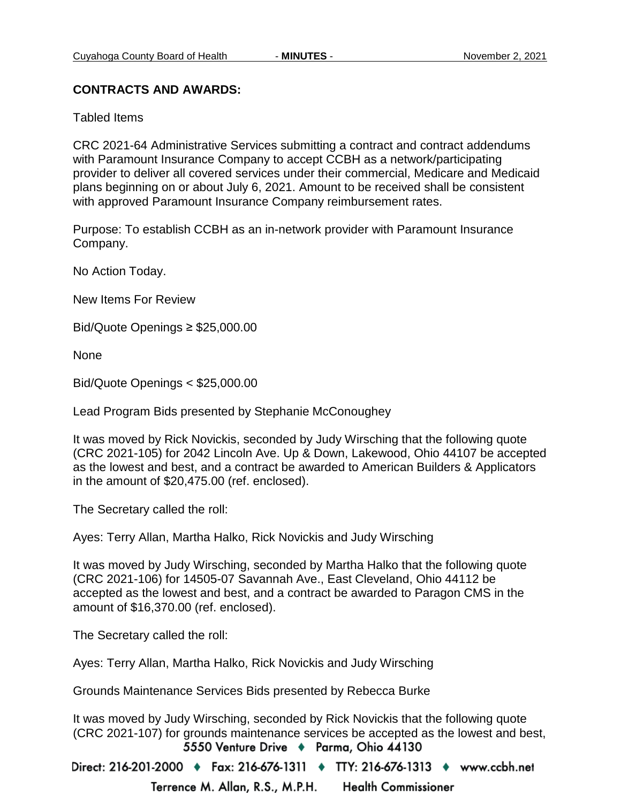#### **CONTRACTS AND AWARDS:**

Tabled Items

CRC 2021-64 Administrative Services submitting a contract and contract addendums with Paramount Insurance Company to accept CCBH as a network/participating provider to deliver all covered services under their commercial, Medicare and Medicaid plans beginning on or about July 6, 2021. Amount to be received shall be consistent with approved Paramount Insurance Company reimbursement rates.

Purpose: To establish CCBH as an in-network provider with Paramount Insurance Company.

No Action Today.

New Items For Review

Bid/Quote Openings ≥ \$25,000.00

None

Bid/Quote Openings < \$25,000.00

Lead Program Bids presented by Stephanie McConoughey

It was moved by Rick Novickis, seconded by Judy Wirsching that the following quote (CRC 2021-105) for 2042 Lincoln Ave. Up & Down, Lakewood, Ohio 44107 be accepted as the lowest and best, and a contract be awarded to American Builders & Applicators in the amount of \$20,475.00 (ref. enclosed).

The Secretary called the roll:

Ayes: Terry Allan, Martha Halko, Rick Novickis and Judy Wirsching

It was moved by Judy Wirsching, seconded by Martha Halko that the following quote (CRC 2021-106) for 14505-07 Savannah Ave., East Cleveland, Ohio 44112 be accepted as the lowest and best, and a contract be awarded to Paragon CMS in the amount of \$16,370.00 (ref. enclosed).

The Secretary called the roll:

Ayes: Terry Allan, Martha Halko, Rick Novickis and Judy Wirsching

Grounds Maintenance Services Bids presented by Rebecca Burke

It was moved by Judy Wirsching, seconded by Rick Novickis that the following quote (CRC 2021-107) for grounds maintenance services be accepted as the lowest and best,<br>5550 Venture Drive ♦ Parma, Ohio 44130

Direct: 216-201-2000 ♦ Fax: 216-676-1311 ♦ TTY: 216-676-1313 ♦ www.ccbh.net

Terrence M. Allan, R.S., M.P.H. **Health Commissioner**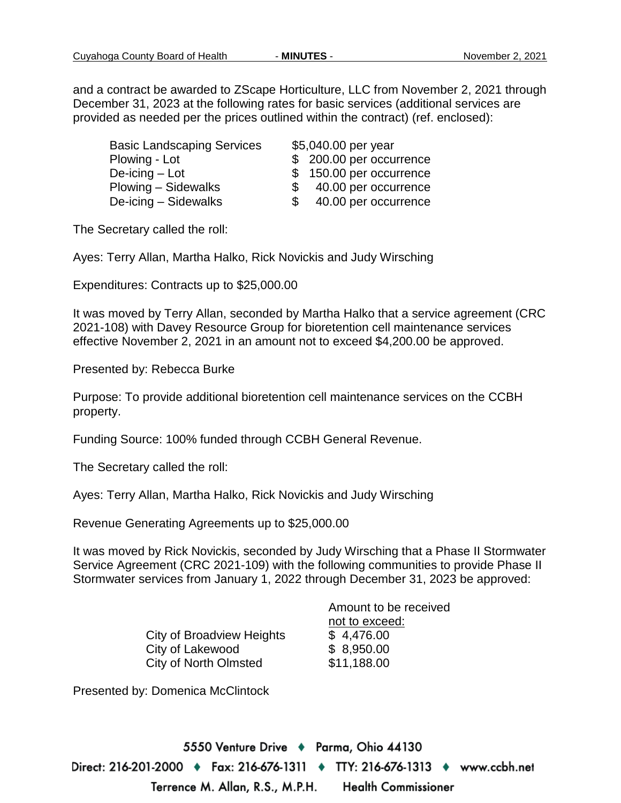and a contract be awarded to ZScape Horticulture, LLC from November 2, 2021 through December 31, 2023 at the following rates for basic services (additional services are provided as needed per the prices outlined within the contract) (ref. enclosed):

| <b>Basic Landscaping Services</b> | \$5,040.00 per year        |
|-----------------------------------|----------------------------|
| Plowing - Lot                     | \$200.00 per occurrence    |
| De-icing – Lot                    | \$150.00 per occurrence    |
| Plowing – Sidewalks               | 40.00 per occurrence<br>S. |
| De-icing - Sidewalks              | 40.00 per occurrence       |

The Secretary called the roll:

Ayes: Terry Allan, Martha Halko, Rick Novickis and Judy Wirsching

Expenditures: Contracts up to \$25,000.00

It was moved by Terry Allan, seconded by Martha Halko that a service agreement (CRC 2021-108) with Davey Resource Group for bioretention cell maintenance services effective November 2, 2021 in an amount not to exceed \$4,200.00 be approved.

Presented by: Rebecca Burke

Purpose: To provide additional bioretention cell maintenance services on the CCBH property.

Funding Source: 100% funded through CCBH General Revenue.

The Secretary called the roll:

Ayes: Terry Allan, Martha Halko, Rick Novickis and Judy Wirsching

Revenue Generating Agreements up to \$25,000.00

It was moved by Rick Novickis, seconded by Judy Wirsching that a Phase II Stormwater Service Agreement (CRC 2021-109) with the following communities to provide Phase II Stormwater services from January 1, 2022 through December 31, 2023 be approved:

|                                  | Amount to be received |  |  |
|----------------------------------|-----------------------|--|--|
|                                  | not to exceed:        |  |  |
| <b>City of Broadview Heights</b> | \$4,476.00            |  |  |
| City of Lakewood                 | \$8,950.00            |  |  |
| City of North Olmsted            | \$11,188.00           |  |  |
|                                  |                       |  |  |

Presented by: Domenica McClintock

5550 Venture Drive + Parma, Ohio 44130 Direct: 216-201-2000 ♦ Fax: 216-676-1311 ♦ TTY: 216-676-1313 ♦ www.ccbh.net Terrence M. Allan, R.S., M.P.H. **Health Commissioner**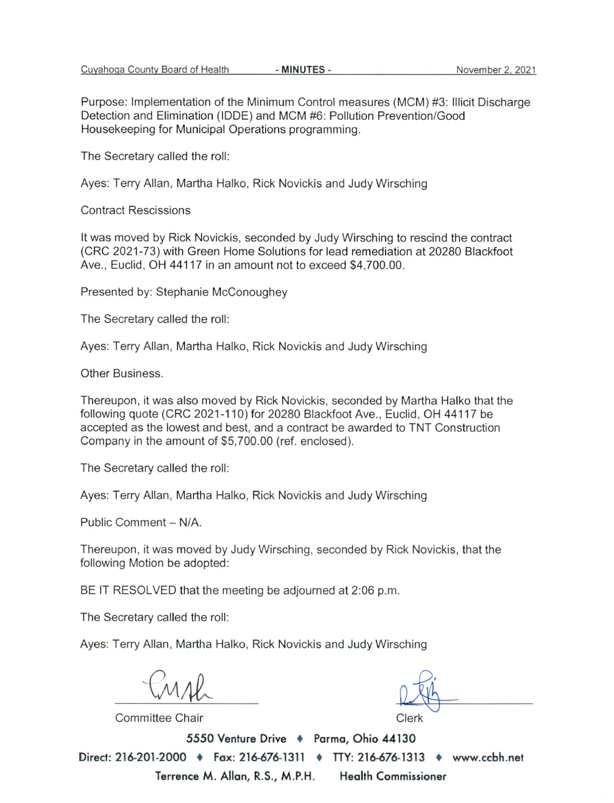Purpose: Implementation of the Minimum Control measures (MCM) #3: Illicit Discharge Detection and Elimination (IDDE) and MCM #6: Pollution Prevention/Good Housekeeping for Municipal Operations programming.

The Secretary called the roll:

Ayes: Terry Allan, Martha Halko, Rick Novickis and Judy Wirsching

**Contract Rescissions** 

It was moved by Rick Novickis, seconded by Judy Wirsching to rescind the contract (CRC 2021-73) with Green Home Solutions for lead remediation at 20280 Blackfoot Ave., Euclid, OH 44117 in an amount not to exceed \$4,700.00.

Presented by: Stephanie McConoughey

The Secretary called the roll:

Ayes: Terry Allan, Martha Halko, Rick Novickis and Judy Wirsching

Other Business.

Thereupon, it was also moved by Rick Novickis, seconded by Martha Halko that the following quote (CRC 2021-110) for 20280 Blackfoot Ave., Euclid, OH 44117 be accepted as the lowest and best, and a contract be awarded to TNT Construction Company in the amount of \$5,700.00 (ref. enclosed).

The Secretary called the roll:

Ayes: Terry Allan, Martha Halko, Rick Novickis and Judy Wirsching

Public Comment - N/A.

Thereupon, it was moved by Judy Wirsching, seconded by Rick Novickis, that the following Motion be adopted:

BE IT RESOLVED that the meeting be adjourned at 2:06 p.m.

The Secretary called the roll:

Ayes: Terry Allan, Martha Halko, Rick Novickis and Judy Wirsching

Committee Chair

5550 Venture Drive + Parma, Ohio 44130 Direct: 216-201-2000 • Fax: 216-676-1311 • TTY: 216-676-1313 • www.ccbh.net Terrence M. Allan, R.S., M.P.H. **Health Commissioner**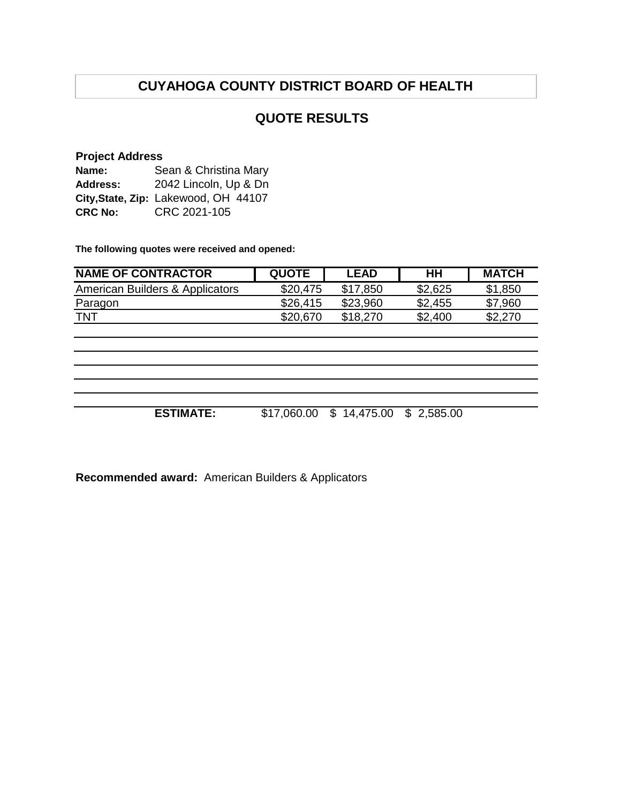## **QUOTE RESULTS**

#### **Project Address**

| Name:          | Sean & Christina Mary                |
|----------------|--------------------------------------|
| Address:       | 2042 Lincoln, Up & Dn                |
|                | City, State, Zip: Lakewood, OH 44107 |
| <b>CRC No:</b> | CRC 2021-105                         |

**The following quotes were received and opened:**

| <b>NAME OF CONTRACTOR</b>       | <b>QUOTE</b> | <b>LEAD</b> | HΗ      | <b>MATCH</b> |
|---------------------------------|--------------|-------------|---------|--------------|
| American Builders & Applicators | \$20,475     | \$17.850    | \$2,625 | \$1,850      |
| Paragon                         | \$26,415     | \$23,960    | \$2,455 | \$7,960      |
| <b>TNT</b>                      | \$20,670     | \$18,270    | \$2,400 | \$2,270      |

**ESTIMATE:** \$17,060.00 \$ 14,475.00 \$ 2,585.00

**Recommended award:** American Builders & Applicators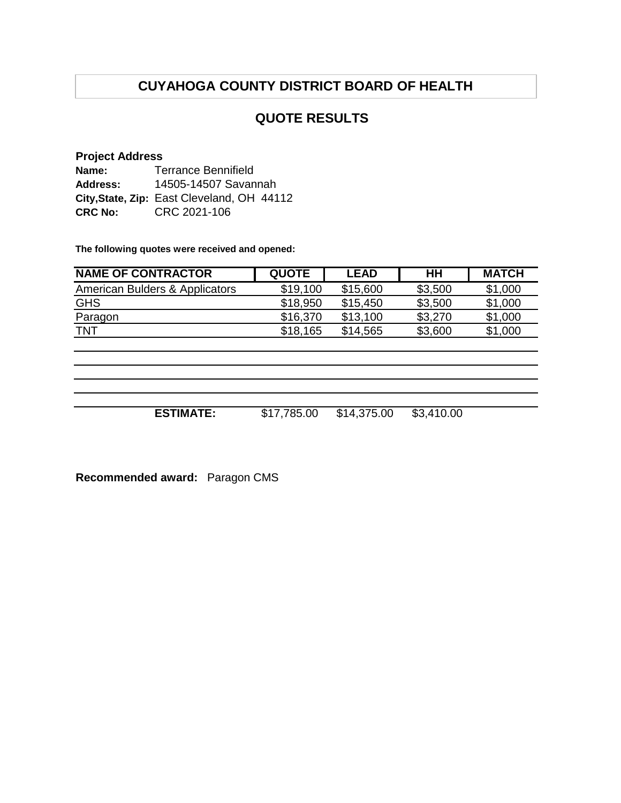## **QUOTE RESULTS**

#### **Project Address**

| Name:           | Terrance Bennifield                        |
|-----------------|--------------------------------------------|
| <b>Address:</b> | 14505-14507 Savannah                       |
|                 | City, State, Zip: East Cleveland, OH 44112 |
| <b>CRC No:</b>  | CRC 2021-106                               |

**The following quotes were received and opened:**

| <b>NAME OF CONTRACTOR</b>      | <b>QUOTE</b> | <b>LEAD</b> | HН      | <b>MATCH</b> |
|--------------------------------|--------------|-------------|---------|--------------|
| American Bulders & Applicators | \$19,100     | \$15,600    | \$3,500 | \$1,000      |
| <b>GHS</b>                     | \$18,950     | \$15,450    | \$3,500 | \$1,000      |
| Paragon                        | \$16,370     | \$13.100    | \$3,270 | \$1,000      |
| <b>TNT</b>                     | \$18,165     | \$14,565    | \$3,600 | \$1,000      |
|                                |              |             |         |              |

**ESTIMATE:** \$17,785.00 \$14,375.00 \$3,410.00

**Recommended award:** Paragon CMS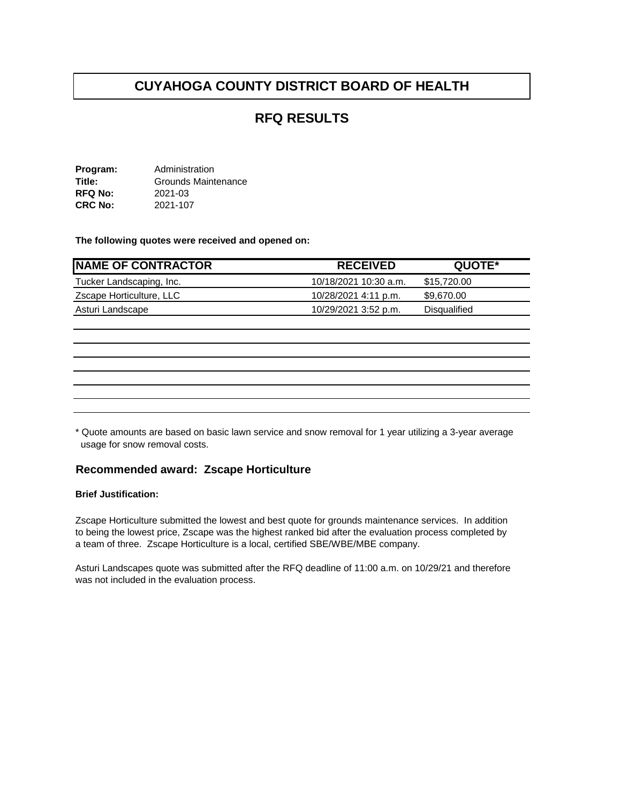## **RFQ RESULTS**

**Program:** Administration<br> **Title:** Grounds Maint Grounds Maintenance<br>2021-03 **RFQ No:** 2021-03<br>**CRC No:** 2021-107 **CRC No:** 

**The following quotes were received and opened on:** 

| <b>NAME OF CONTRACTOR</b> | <b>RECEIVED</b>       | QUOTE*       |
|---------------------------|-----------------------|--------------|
| Tucker Landscaping, Inc.  | 10/18/2021 10:30 a.m. | \$15,720.00  |
| Zscape Horticulture, LLC  | 10/28/2021 4:11 p.m.  | \$9.670.00   |
| Asturi Landscape          | 10/29/2021 3:52 p.m.  | Disqualified |

\* Quote amounts are based on basic lawn service and snow removal for 1 year utilizing a 3-year average usage for snow removal costs.

#### **Recommended award: Zscape Horticulture**

#### **Brief Justification:**

Zscape Horticulture submitted the lowest and best quote for grounds maintenance services. In addition to being the lowest price, Zscape was the highest ranked bid after the evaluation process completed by a team of three. Zscape Horticulture is a local, certified SBE/WBE/MBE company.

Asturi Landscapes quote was submitted after the RFQ deadline of 11:00 a.m. on 10/29/21 and therefore was not included in the evaluation process.